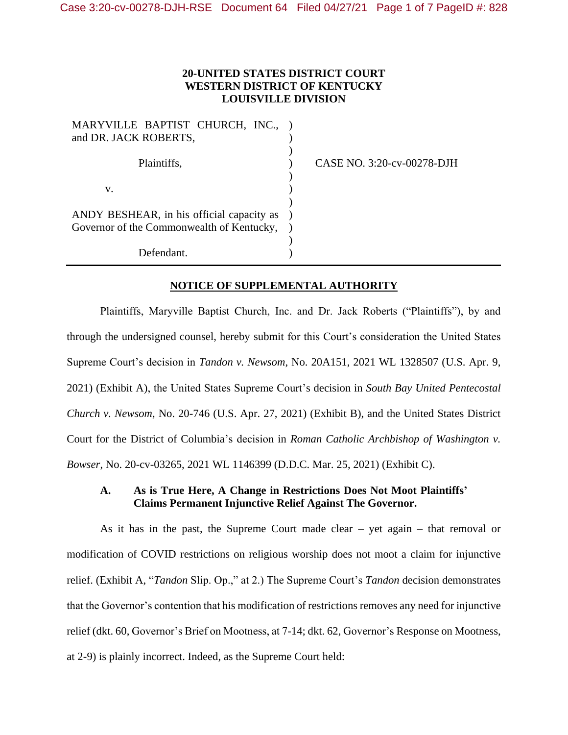## **20-UNITED STATES DISTRICT COURT WESTERN DISTRICT OF KENTUCKY LOUISVILLE DIVISION**

| MARYVILLE BAPTIST CHURCH, INC.,           |  |
|-------------------------------------------|--|
| and DR. JACK ROBERTS,                     |  |
|                                           |  |
| Plaintiffs.                               |  |
|                                           |  |
| v.                                        |  |
|                                           |  |
| ANDY BESHEAR, in his official capacity as |  |
| Governor of the Commonwealth of Kentucky, |  |
|                                           |  |
| Defendant.                                |  |

CASE NO. 3:20-cv-00278-DJH

## **NOTICE OF SUPPLEMENTAL AUTHORITY**

Plaintiffs, Maryville Baptist Church, Inc. and Dr. Jack Roberts ("Plaintiffs"), by and through the undersigned counsel, hereby submit for this Court's consideration the United States Supreme Court's decision in *Tandon v. Newsom*, No. 20A151, 2021 WL 1328507 (U.S. Apr. 9, 2021) (Exhibit A), the United States Supreme Court's decision in *South Bay United Pentecostal Church v. Newsom*, No. 20-746 (U.S. Apr. 27, 2021) (Exhibit B), and the United States District Court for the District of Columbia's decision in *Roman Catholic Archbishop of Washington v. Bowser*, No. 20-cv-03265, 2021 WL 1146399 (D.D.C. Mar. 25, 2021) (Exhibit C).

## **A. As is True Here, A Change in Restrictions Does Not Moot Plaintiffs' Claims Permanent Injunctive Relief Against The Governor.**

As it has in the past, the Supreme Court made clear – yet again – that removal or modification of COVID restrictions on religious worship does not moot a claim for injunctive relief. (Exhibit A, "*Tandon* Slip. Op.," at 2.) The Supreme Court's *Tandon* decision demonstrates that the Governor's contention that his modification of restrictions removes any need for injunctive relief (dkt. 60, Governor's Brief on Mootness, at 7-14; dkt. 62, Governor's Response on Mootness, at 2-9) is plainly incorrect. Indeed, as the Supreme Court held: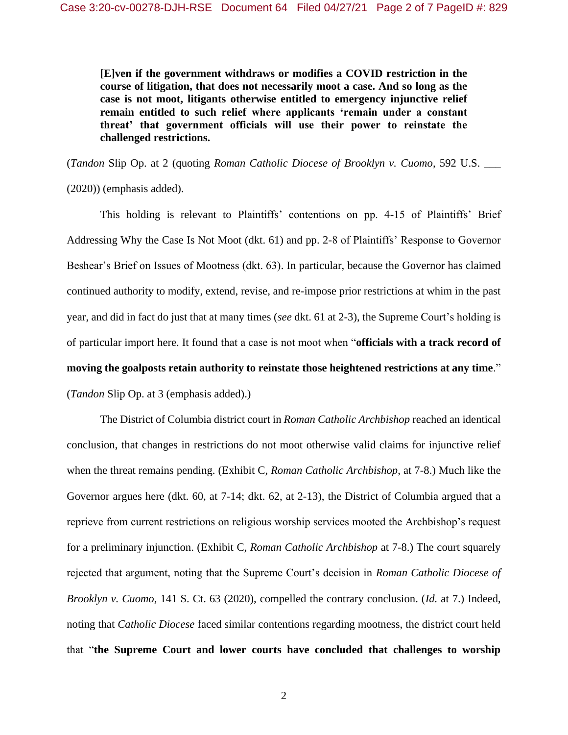**[E]ven if the government withdraws or modifies a COVID restriction in the course of litigation, that does not necessarily moot a case. And so long as the case is not moot, litigants otherwise entitled to emergency injunctive relief remain entitled to such relief where applicants 'remain under a constant threat' that government officials will use their power to reinstate the challenged restrictions.**

(*Tandon* Slip Op. at 2 (quoting *Roman Catholic Diocese of Brooklyn v. Cuomo*, 592 U.S. \_\_\_ (2020)) (emphasis added).

This holding is relevant to Plaintiffs' contentions on pp. 4-15 of Plaintiffs' Brief Addressing Why the Case Is Not Moot (dkt. 61) and pp. 2-8 of Plaintiffs' Response to Governor Beshear's Brief on Issues of Mootness (dkt. 63). In particular, because the Governor has claimed continued authority to modify, extend, revise, and re-impose prior restrictions at whim in the past year, and did in fact do just that at many times (*see* dkt. 61 at 2-3), the Supreme Court's holding is of particular import here. It found that a case is not moot when "**officials with a track record of moving the goalposts retain authority to reinstate those heightened restrictions at any time**." (*Tandon* Slip Op. at 3 (emphasis added).)

The District of Columbia district court in *Roman Catholic Archbishop* reached an identical conclusion, that changes in restrictions do not moot otherwise valid claims for injunctive relief when the threat remains pending. (Exhibit C, *Roman Catholic Archbishop*, at 7-8.) Much like the Governor argues here (dkt. 60, at 7-14; dkt. 62, at 2-13), the District of Columbia argued that a reprieve from current restrictions on religious worship services mooted the Archbishop's request for a preliminary injunction. (Exhibit C, *Roman Catholic Archbishop* at 7-8.) The court squarely rejected that argument, noting that the Supreme Court's decision in *Roman Catholic Diocese of Brooklyn v. Cuomo*, 141 S. Ct. 63 (2020), compelled the contrary conclusion. (*Id.* at 7.) Indeed, noting that *Catholic Diocese* faced similar contentions regarding mootness, the district court held that "**the Supreme Court and lower courts have concluded that challenges to worship**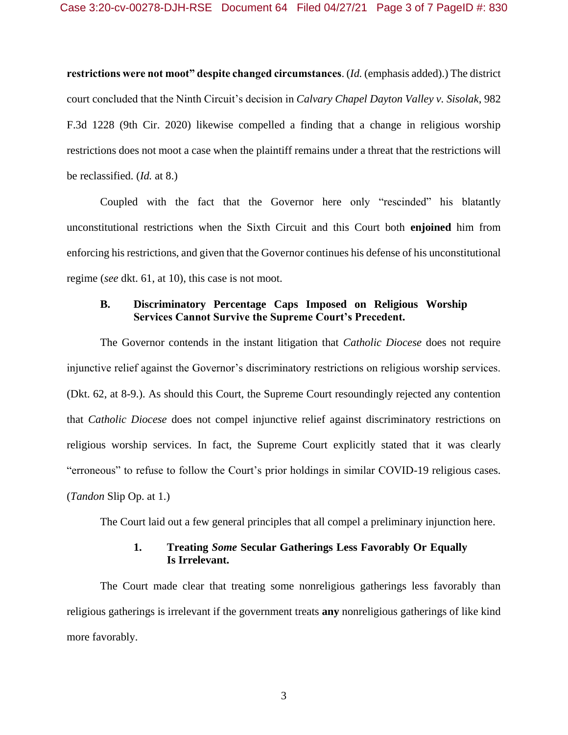**restrictions were not moot" despite changed circumstances**. (*Id.* (emphasis added).) The district court concluded that the Ninth Circuit's decision in *Calvary Chapel Dayton Valley v. Sisolak*, 982 F.3d 1228 (9th Cir. 2020) likewise compelled a finding that a change in religious worship restrictions does not moot a case when the plaintiff remains under a threat that the restrictions will be reclassified. (*Id.* at 8.)

Coupled with the fact that the Governor here only "rescinded" his blatantly unconstitutional restrictions when the Sixth Circuit and this Court both **enjoined** him from enforcing his restrictions, and given that the Governor continues his defense of his unconstitutional regime (*see* dkt. 61, at 10), this case is not moot.

## **B. Discriminatory Percentage Caps Imposed on Religious Worship Services Cannot Survive the Supreme Court's Precedent.**

The Governor contends in the instant litigation that *Catholic Diocese* does not require injunctive relief against the Governor's discriminatory restrictions on religious worship services. (Dkt. 62, at 8-9.). As should this Court, the Supreme Court resoundingly rejected any contention that *Catholic Diocese* does not compel injunctive relief against discriminatory restrictions on religious worship services. In fact, the Supreme Court explicitly stated that it was clearly "erroneous" to refuse to follow the Court's prior holdings in similar COVID-19 religious cases. (*Tandon* Slip Op. at 1.)

The Court laid out a few general principles that all compel a preliminary injunction here.

### **1. Treating** *Some* **Secular Gatherings Less Favorably Or Equally Is Irrelevant.**

The Court made clear that treating some nonreligious gatherings less favorably than religious gatherings is irrelevant if the government treats **any** nonreligious gatherings of like kind more favorably.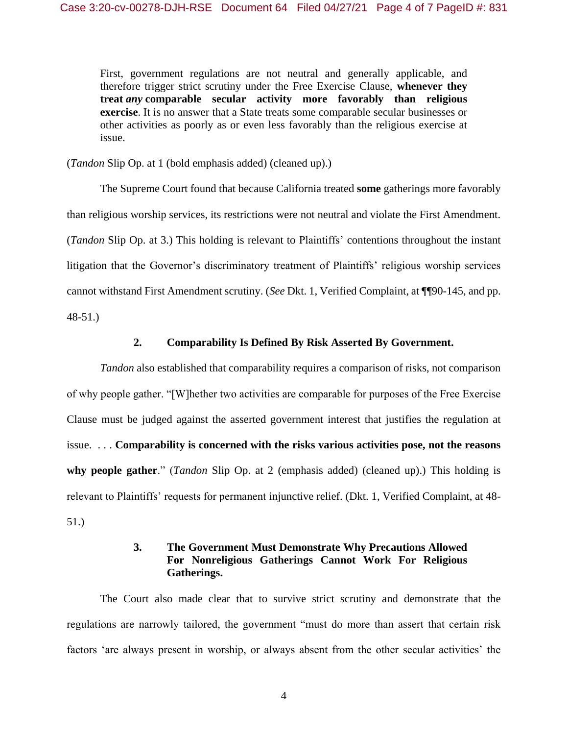First, government regulations are not neutral and generally applicable, and therefore trigger strict scrutiny under the Free Exercise Clause, **whenever they treat** *any* **comparable secular activity more favorably than religious exercise**. It is no answer that a State treats some comparable secular businesses or other activities as poorly as or even less favorably than the religious exercise at issue.

(*Tandon* Slip Op. at 1 (bold emphasis added) (cleaned up).)

The Supreme Court found that because California treated **some** gatherings more favorably than religious worship services, its restrictions were not neutral and violate the First Amendment. (*Tandon* Slip Op. at 3.) This holding is relevant to Plaintiffs' contentions throughout the instant litigation that the Governor's discriminatory treatment of Plaintiffs' religious worship services cannot withstand First Amendment scrutiny. (*See* Dkt. 1, Verified Complaint, at ¶¶90-145, and pp. 48-51.)

### **2. Comparability Is Defined By Risk Asserted By Government.**

*Tandon* also established that comparability requires a comparison of risks, not comparison of why people gather. "[W]hether two activities are comparable for purposes of the Free Exercise Clause must be judged against the asserted government interest that justifies the regulation at issue. . . . **Comparability is concerned with the risks various activities pose, not the reasons why people gather**." (*Tandon* Slip Op. at 2 (emphasis added) (cleaned up).) This holding is relevant to Plaintiffs' requests for permanent injunctive relief. (Dkt. 1, Verified Complaint, at 48- 51.)

# **3. The Government Must Demonstrate Why Precautions Allowed For Nonreligious Gatherings Cannot Work For Religious Gatherings.**

The Court also made clear that to survive strict scrutiny and demonstrate that the regulations are narrowly tailored, the government "must do more than assert that certain risk factors 'are always present in worship, or always absent from the other secular activities' the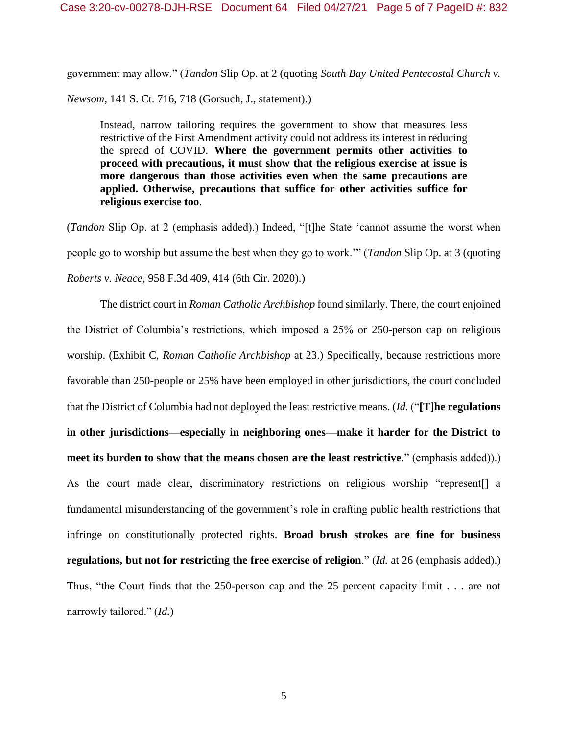government may allow." (*Tandon* Slip Op. at 2 (quoting *South Bay United Pentecostal Church v.* 

*Newsom*, 141 S. Ct. 716, 718 (Gorsuch, J., statement).)

Instead, narrow tailoring requires the government to show that measures less restrictive of the First Amendment activity could not address its interest in reducing the spread of COVID. **Where the government permits other activities to proceed with precautions, it must show that the religious exercise at issue is more dangerous than those activities even when the same precautions are applied. Otherwise, precautions that suffice for other activities suffice for religious exercise too**.

(*Tandon* Slip Op. at 2 (emphasis added).) Indeed, "[t]he State 'cannot assume the worst when people go to worship but assume the best when they go to work.'" (*Tandon* Slip Op. at 3 (quoting *Roberts v. Neace*, 958 F.3d 409, 414 (6th Cir. 2020).)

The district court in *Roman Catholic Archbishop* found similarly. There, the court enjoined the District of Columbia's restrictions, which imposed a 25% or 250-person cap on religious worship. (Exhibit C, *Roman Catholic Archbishop* at 23.) Specifically, because restrictions more favorable than 250-people or 25% have been employed in other jurisdictions, the court concluded that the District of Columbia had not deployed the least restrictive means. (*Id.* ("**[T]he regulations in other jurisdictions—especially in neighboring ones—make it harder for the District to meet its burden to show that the means chosen are the least restrictive**." (emphasis added)).) As the court made clear, discriminatory restrictions on religious worship "represent[] a fundamental misunderstanding of the government's role in crafting public health restrictions that infringe on constitutionally protected rights. **Broad brush strokes are fine for business regulations, but not for restricting the free exercise of religion**." (*Id.* at 26 (emphasis added).) Thus, "the Court finds that the 250-person cap and the 25 percent capacity limit . . . are not narrowly tailored." (*Id.*)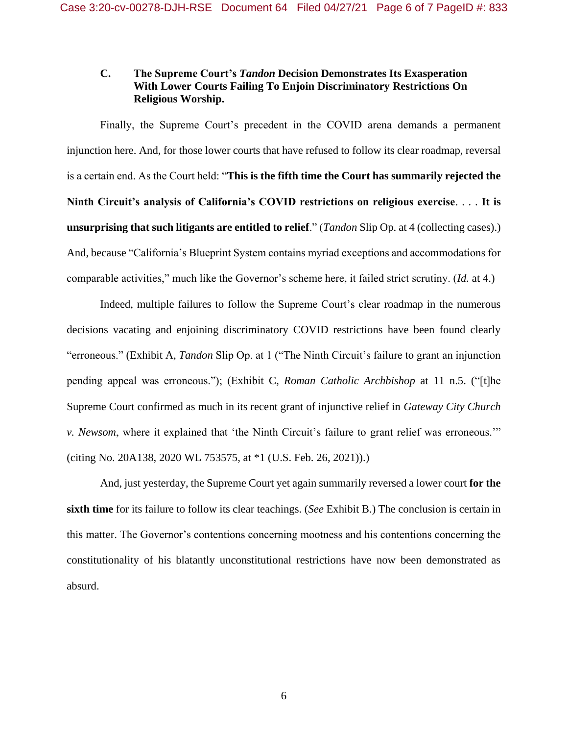# **C. The Supreme Court's** *Tandon* **Decision Demonstrates Its Exasperation With Lower Courts Failing To Enjoin Discriminatory Restrictions On Religious Worship.**

Finally, the Supreme Court's precedent in the COVID arena demands a permanent injunction here. And, for those lower courts that have refused to follow its clear roadmap, reversal is a certain end. As the Court held: "**This is the fifth time the Court has summarily rejected the Ninth Circuit's analysis of California's COVID restrictions on religious exercise**. . . . **It is unsurprising that such litigants are entitled to relief**." (*Tandon* Slip Op. at 4 (collecting cases).) And, because "California's Blueprint System contains myriad exceptions and accommodations for comparable activities," much like the Governor's scheme here, it failed strict scrutiny. (*Id.* at 4.)

Indeed, multiple failures to follow the Supreme Court's clear roadmap in the numerous decisions vacating and enjoining discriminatory COVID restrictions have been found clearly "erroneous." (Exhibit A, *Tandon* Slip Op. at 1 ("The Ninth Circuit's failure to grant an injunction pending appeal was erroneous."); (Exhibit C, *Roman Catholic Archbishop* at 11 n.5. ("[t]he Supreme Court confirmed as much in its recent grant of injunctive relief in *Gateway City Church v. Newsom*, where it explained that 'the Ninth Circuit's failure to grant relief was erroneous.'" (citing No. 20A138, 2020 WL 753575, at \*1 (U.S. Feb. 26, 2021)).)

And, just yesterday, the Supreme Court yet again summarily reversed a lower court **for the sixth time** for its failure to follow its clear teachings. (*See* Exhibit B.) The conclusion is certain in this matter. The Governor's contentions concerning mootness and his contentions concerning the constitutionality of his blatantly unconstitutional restrictions have now been demonstrated as absurd.